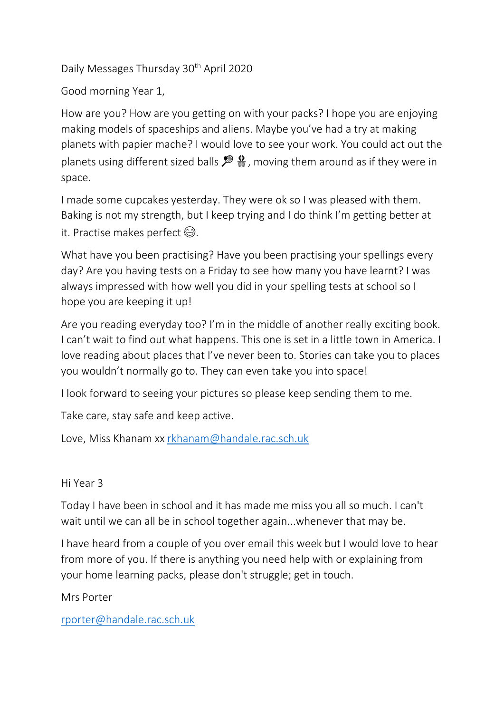Daily Messages Thursday 30th April 2020

Good morning Year 1,

How are you? How are you getting on with your packs? I hope you are enjoying making models of spaceships and aliens. Maybe you've had a try at making planets with papier mache? I would love to see your work. You could act out the planets using different sized balls  $\mathcal{F} \ddot{\ddot{}}$ , moving them around as if they were in space.

I made some cupcakes yesterday. They were ok so I was pleased with them. Baking is not my strength, but I keep trying and I do think I'm getting better at it. Practise makes perfect  $\odot$ .

What have you been practising? Have you been practising your spellings every day? Are you having tests on a Friday to see how many you have learnt? I was always impressed with how well you did in your spelling tests at school so I hope you are keeping it up!

Are you reading everyday too? I'm in the middle of another really exciting book. I can't wait to find out what happens. This one is set in a little town in America. I love reading about places that I've never been to. Stories can take you to places you wouldn't normally go to. They can even take you into space!

I look forward to seeing your pictures so please keep sending them to me.

Take care, stay safe and keep active.

Love, Miss Khanam xx [rkhanam@handale.rac.sch.uk](mailto:rkhanam@handale.rac.sch.uk)

Hi Year 3

Today I have been in school and it has made me miss you all so much. I can't wait until we can all be in school together again...whenever that may be.

I have heard from a couple of you over email this week but I would love to hear from more of you. If there is anything you need help with or explaining from your home learning packs, please don't struggle; get in touch.

Mrs Porter

[rporter@handale.rac.sch.uk](mailto:rporter@handale.rac.sch.uk)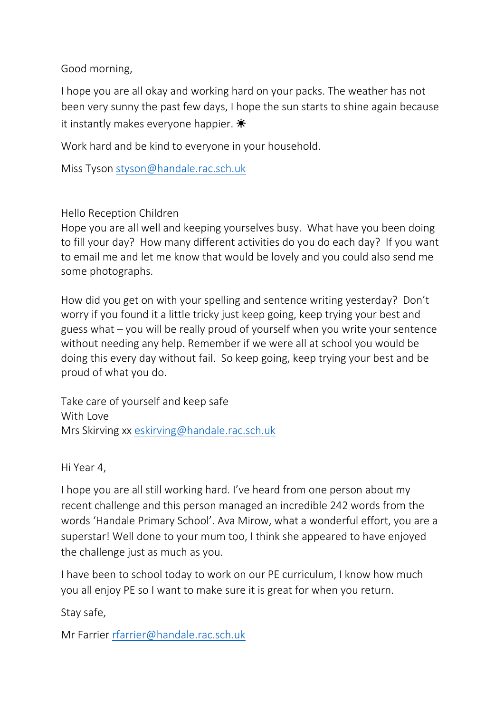Good morning,

I hope you are all okay and working hard on your packs. The weather has not been very sunny the past few days, I hope the sun starts to shine again because it instantly makes everyone happier.  $\ddot{\ast}$ 

Work hard and be kind to everyone in your household.

Miss Tyson [styson@handale.rac.sch.uk](mailto:styson@handale.rac.sch.uk)

Hello Reception Children

Hope you are all well and keeping yourselves busy. What have you been doing to fill your day? How many different activities do you do each day? If you want to email me and let me know that would be lovely and you could also send me some photographs.

How did you get on with your spelling and sentence writing yesterday? Don't worry if you found it a little tricky just keep going, keep trying your best and guess what – you will be really proud of yourself when you write your sentence without needing any help. Remember if we were all at school you would be doing this every day without fail. So keep going, keep trying your best and be proud of what you do.

Take care of yourself and keep safe With Love Mrs Skirving xx [eskirving@handale.rac.sch.uk](mailto:eskirving@handale.rac.sch.uk)

Hi Year 4,

I hope you are all still working hard. I've heard from one person about my recent challenge and this person managed an incredible 242 words from the words 'Handale Primary School'. Ava Mirow, what a wonderful effort, you are a superstar! Well done to your mum too, I think she appeared to have enjoyed the challenge just as much as you.

I have been to school today to work on our PE curriculum, I know how much you all enjoy PE so I want to make sure it is great for when you return.

Stay safe,

Mr Farrier [rfarrier@handale.rac.sch.uk](mailto:rfarrier@handale.rac.sch.uk)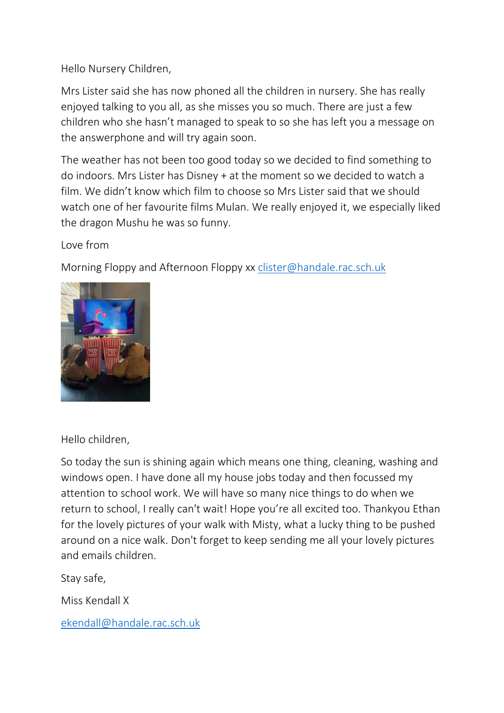Hello Nursery Children,

Mrs Lister said she has now phoned all the children in nursery. She has really enjoyed talking to you all, as she misses you so much. There are just a few children who she hasn't managed to speak to so she has left you a message on the answerphone and will try again soon.

The weather has not been too good today so we decided to find something to do indoors. Mrs Lister has Disney + at the moment so we decided to watch a film. We didn't know which film to choose so Mrs Lister said that we should watch one of her favourite films Mulan. We really enjoyed it, we especially liked the dragon Mushu he was so funny.

Love from

Morning Floppy and Afternoon Floppy xx [clister@handale.rac.sch.uk](mailto:clister@handale.rac.sch.uk)



Hello children,

So today the sun is shining again which means one thing, cleaning, washing and windows open. I have done all my house jobs today and then focussed my attention to school work. We will have so many nice things to do when we return to school, I really can't wait! Hope you're all excited too. Thankyou Ethan for the lovely pictures of your walk with Misty, what a lucky thing to be pushed around on a nice walk. Don't forget to keep sending me all your lovely pictures and emails children.

Stay safe,

Miss Kendall X

[ekendall@handale.rac.sch.uk](mailto:ekendall@handale.rac.sch.uk)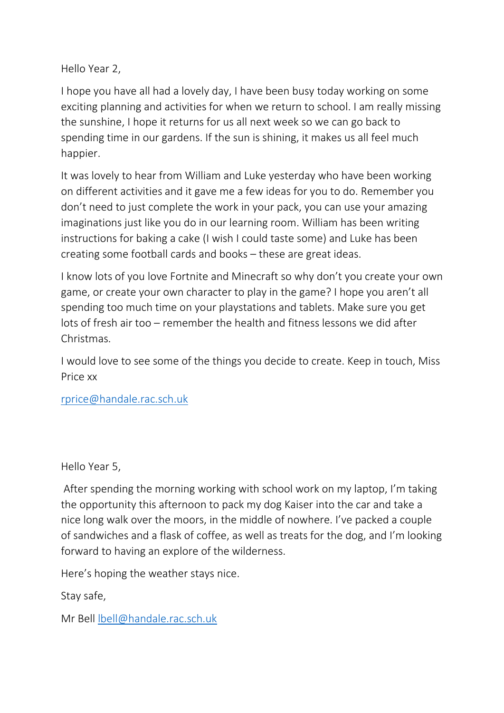Hello Year 2,

I hope you have all had a lovely day, I have been busy today working on some exciting planning and activities for when we return to school. I am really missing the sunshine, I hope it returns for us all next week so we can go back to spending time in our gardens. If the sun is shining, it makes us all feel much happier.

It was lovely to hear from William and Luke yesterday who have been working on different activities and it gave me a few ideas for you to do. Remember you don't need to just complete the work in your pack, you can use your amazing imaginations just like you do in our learning room. William has been writing instructions for baking a cake (I wish I could taste some) and Luke has been creating some football cards and books – these are great ideas.

I know lots of you love Fortnite and Minecraft so why don't you create your own game, or create your own character to play in the game? I hope you aren't all spending too much time on your playstations and tablets. Make sure you get lots of fresh air too – remember the health and fitness lessons we did after Christmas.

I would love to see some of the things you decide to create. Keep in touch, Miss Price xx

[rprice@handale.rac.sch.uk](mailto:rprice@handale.rac.sch.uk)

Hello Year 5,

After spending the morning working with school work on my laptop, I'm taking the opportunity this afternoon to pack my dog Kaiser into the car and take a nice long walk over the moors, in the middle of nowhere. I've packed a couple of sandwiches and a flask of coffee, as well as treats for the dog, and I'm looking forward to having an explore of the wilderness.

Here's hoping the weather stays nice.

Stay safe,

Mr Bell [lbell@handale.rac.sch.uk](mailto:lbell@handale.rac.sch.uk)